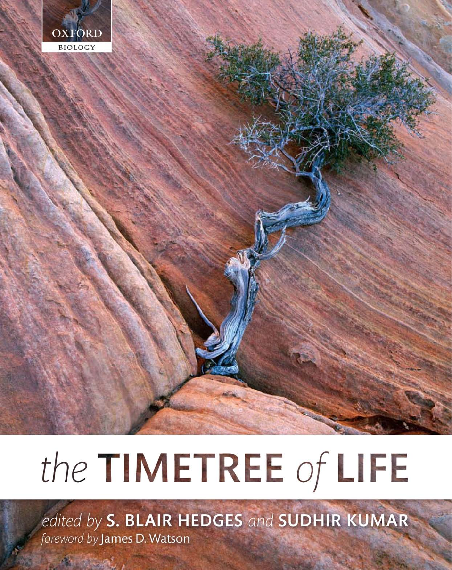

# the TIMETREE of LIFE

edited by S. BLAIR HEDGES and SUDHIR KUMAR foreword by James D. Watson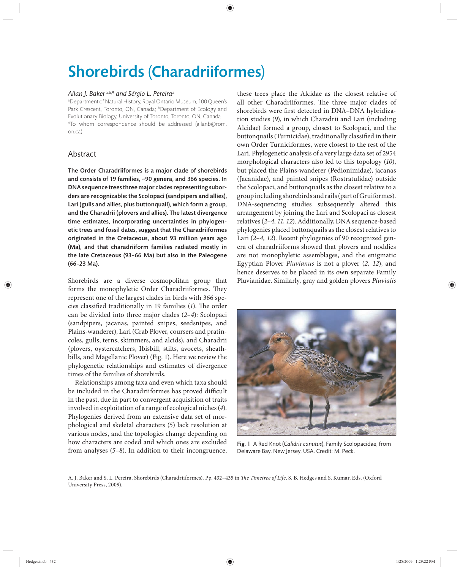# Shorebirds (Charadriiformes)

#### *Allan J. Baker* a,b,*\* and Sérgio L. Pereira*<sup>a</sup>

a Department of Natural History, Royal Ontario Museum, 100 Queen's Park Crescent, Toronto, ON, Canada; bDepartment of Ecology and Evolutionary Biology, University of Toronto, Toronto, ON, Canada \*To whom correspondence should be addressed (allanb@rom. on.ca)

## Abstract

The Order Charadriiformes is a major clade of shorebirds and consists of 19 families, ~90 genera, and 366 species. In DNA sequence trees three major clades representing suborders are recognizable: the Scolopaci (sandpipers and allies), Lari (gulls and allies, plus buttonquail), which form a group, and the Charadrii (plovers and allies). The latest divergence time estimates, incorporating uncertainties in phylogenetic trees and fossil dates, suggest that the Charadriiformes originated in the Cretaceous, about 93 million years ago (Ma), and that charadriiform families radiated mostly in the late Cretaceous (93–66 Ma) but also in the Paleogene (66–23 Ma).

Shorebirds are a diverse cosmopolitan group that forms the monophyletic Order Charadriiformes. They represent one of the largest clades in birds with 366 species classified traditionally in 19 families (1). The order can be divided into three major clades (*2–4*): Scolopaci (sandpipers, jacanas, painted snipes, seedsnipes, and Plains-wanderer), Lari (Crab Plover, coursers and pratincoles, gulls, terns, skimmers, and alcids), and Charadrii (plovers, oystercatchers, Ibisbill, stilts, avocets, sheathbills, and Magellanic Plover) (Fig. 1). Here we review the phylogenetic relationships and estimates of divergence times of the families of shorebirds.

Relationships among taxa and even which taxa should be included in the Charadriiformes has proved difficult in the past, due in part to convergent acquisition of traits involved in exploitation of a range of ecological niches (*4*). Phylogenies derived from an extensive data set of morphological and skeletal characters (*5*) lack resolution at various nodes, and the topologies change depending on how characters are coded and which ones are excluded from analyses (*5–8*). In addition to their incongruence, these trees place the Alcidae as the closest relative of all other Charadriiformes. The three major clades of shorebirds were first detected in DNA–DNA hybridization studies (*9*), in which Charadrii and Lari (including Alcidae) formed a group, closest to Scolopaci, and the buttonquails (Turnicidae), traditionally classified in their own Order Turniciformes, were closest to the rest of the Lari. Phylogenetic analysis of a very large data set of 2954 morphological characters also led to this topology (*10*), but placed the Plains-wanderer (Pedionimidae), jacanas (Jacanidae), and painted snipes (Rostratulidae) outside the Scolopaci, and buttonquails as the closest relative to a group including shorebirds and rails (part of Gruiformes). DNA-sequencing studies subsequently altered this arrangement by joining the Lari and Scolopaci as closest relatives (*2–4, 11, 12*). Additionally, DNA sequence-based phylogenies placed buttonquails as the closest relatives to Lari (*2–4, 12*). Recent phylogenies of 90 recognized genera of charadriiforms showed that plovers and noddies are not monophyletic assemblages, and the enigmatic Egyptian Plover *Pluvianus* is not a plover (*2, 12*), and hence deserves to be placed in its own separate Family Pluvianidae. Similarly, gray and golden plovers *Pluvialis*



Fig. 1 A Red Knot (*Calidris canutus*), Family Scolopacidae, from Delaware Bay, New Jersey, USA. Credit: M. Peck.

A. J. Baker and S. L. Pereira. Shorebirds (Charadriiformes). Pp. 432-435 in *The Timetree of Life*, S. B. Hedges and S. Kumar, Eds. (Oxford University Press, 2009).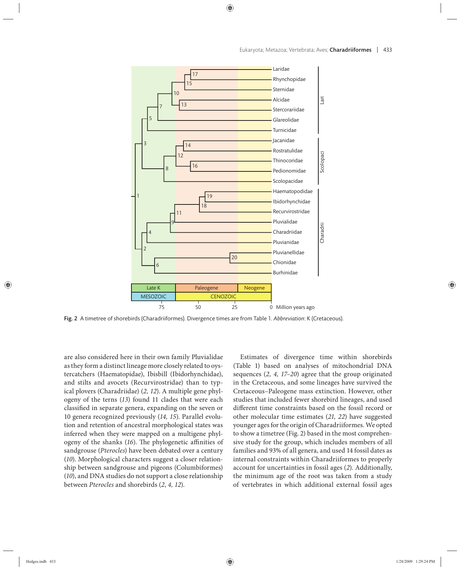

Fig. 2 A timetree of shorebirds (Charadriiformes). Divergence times are from Table 1. *Abbreviation*: K (Cretaceous).

are also considered here in their own family Pluvialidae as they form a distinct lineage more closely related to oystercatchers (Haematopidae), Ibisbill (Ibidorhynchidae), and stilts and avocets (Recurvirostridae) than to typical plovers (Charadriidae) (*2, 12*). A multiple gene phylogeny of the terns (*13*) found 11 clades that were each classified in separate genera, expanding on the seven or 10 genera recognized previously (*14, 15*). Parallel evolution and retention of ancestral morphological states was inferred when they were mapped on a multigene phylogeny of the shanks (16). The phylogenetic affinities of sandgrouse (*Pterocles*) have been debated over a century (*10*). Morphological characters suggest a closer relationship between sandgrouse and pigeons (Columbiformes) (*10*), and DNA studies do not support a close relationship between *Pterocles* and shorebirds (*2*, *4, 12*).

Estimates of divergence time within shorebirds (Table 1) based on analyses of mitochondrial DNA sequences (*2, 4, 17–20*) agree that the group originated in the Cretaceous, and some lineages have survived the Cretaceous–Paleogene mass extinction. However, other studies that included fewer shorebird lineages, and used different time constraints based on the fossil record or other molecular time estimates (*21, 22*) have suggested younger ages for the origin of Charadriiformes. We opted to show a timetree (Fig. 2) based in the most comprehensive study for the group, which includes members of all families and 93% of all genera, and used 14 fossil dates as internal constraints within Charadriiformes to properly account for uncertainties in fossil ages (*2*). Additionally, the minimum age of the root was taken from a study of vertebrates in which additional external fossil ages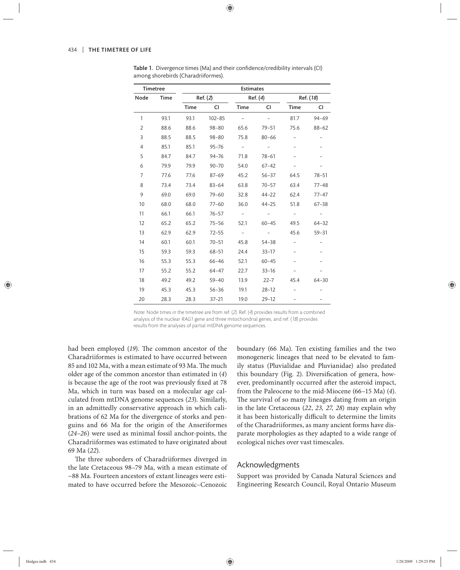| <b>Timetree</b> |      | <b>Estimates</b> |            |                          |           |                          |           |
|-----------------|------|------------------|------------|--------------------------|-----------|--------------------------|-----------|
| Node            | Time | Ref. (2)         |            | Ref. (4)                 |           | Ref. (18)                |           |
|                 |      | <b>Time</b>      | CI         | <b>Time</b>              | CI        | <b>Time</b>              | CI        |
| 1               | 93.1 | 93.1             | $102 - 85$ |                          |           | 81.7                     | $94 - 69$ |
| 2               | 88.6 | 88.6             | $98 - 80$  | 65.6                     | $79 - 51$ | 75.6                     | $88 - 62$ |
| 3               | 88.5 | 88.5             | $98 - 80$  | 75.8                     | $80 - 66$ |                          |           |
| 4               | 85.1 | 85.1             | $95 - 76$  | $ \,$                    |           |                          |           |
| 5               | 84.7 | 84.7             | $94 - 76$  | 71.8                     | $78 - 61$ |                          |           |
| 6               | 79.9 | 79.9             | $90 - 70$  | 54.0                     | $67 - 42$ |                          |           |
| 7               | 77.6 | 77.6             | $87 - 69$  | 45.2                     | $56 - 37$ | 64.5                     | $78 - 51$ |
| 8               | 73.4 | 73.4             | $83 - 64$  | 63.8                     | $70 - 57$ | 63.4                     | $77 - 48$ |
| 9               | 69.0 | 69.0             | $79 - 60$  | 32.8                     | $44 - 22$ | 62.4                     | 77-47     |
| 10              | 68.0 | 68.0             | $77 - 60$  | 36.0                     | $44 - 25$ | 51.8                     | $67 - 38$ |
| 11              | 66.1 | 66.1             | $76 - 57$  |                          |           | $\overline{\phantom{a}}$ |           |
| 12              | 65.2 | 65.2             | $75 - 56$  | 52.1                     | $60 - 45$ | 49.5                     | $64 - 32$ |
| 13              | 62.9 | 62.9             | $72 - 55$  | $\overline{\phantom{a}}$ |           | 45.6                     | $59 - 31$ |
| 14              | 60.1 | 60.1             | $70 - 51$  | 45.8                     | $54 - 38$ |                          |           |
| 15              | 59.3 | 59.3             | $68 - 51$  | 24.4                     | $33 - 17$ |                          |           |
| 16              | 55.3 | 55.3             | $66 - 46$  | 52.1                     | $60 - 45$ |                          |           |
| 17              | 55.2 | 55.2             | $64 - 47$  | 22.7                     | $33 - 16$ |                          |           |
| 18              | 49.2 | 49.2             | $59 - 40$  | 13.9                     | $22 - 7$  | 45.4                     | $64 - 30$ |
| 19              | 45.3 | 45.3             | $56 - 36$  | 19.1                     | $28 - 12$ |                          |           |
| 20              | 28.3 | 28.3             | $37 - 21$  | 19.0                     | $29 - 12$ |                          |           |

Table 1. Divergence times (Ma) and their confidence/credibility intervals (CI) among shorebirds (Charadriiformes).

Note: Node times in the timetree are from ref. (2). Ref. (4) provides results from a combined analysis of the nuclear RAG1 gene and three mitochondrial genes, and ref. (18) provides results from the analyses of partial mtDNA genome sequences.

had been employed (19). The common ancestor of the Charadriiformes is estimated to have occurred between 85 and 102 Ma, with a mean estimate of 93 Ma. The much older age of the common ancestor than estimated in (*4*) is because the age of the root was previously fixed at 78 Ma, which in turn was based on a molecular age calculated from mtDNA genome sequences (*23*). Similarly, in an admittedly conservative approach in which calibrations of 62 Ma for the divergence of storks and penguins and 66 Ma for the origin of the Anseriformes (*24–26*) were used as minimal fossil anchor-points, the Charadriiformes was estimated to have originated about 69 Ma (*22*).

The three suborders of Charadriiformes diverged in the late Cretaceous 98–79 Ma, with a mean estimate of ~88 Ma. Fourteen ancestors of extant lineages were estimated to have occurred before the Mesozoic–Cenozoic boundary (66 Ma). Ten existing families and the two monogeneric lineages that need to be elevated to family status (Pluvialidae and Pluvianidae) also predated this boundary (Fig. 2). Diversification of genera, however, predominantly occurred after the asteroid impact, from the Paleocene to the mid-Miocene (66–15 Ma) (*4*). The survival of so many lineages dating from an origin in the late Cretaceous (*22*, *23, 27, 28*) may explain why it has been historically difficult to determine the limits of the Charadriiformes, as many ancient forms have disparate morphologies as they adapted to a wide range of ecological niches over vast timescales.

## Acknowledgments

Support was provided by Canada Natural Sciences and Engineering Research Council, Royal Ontario Museum